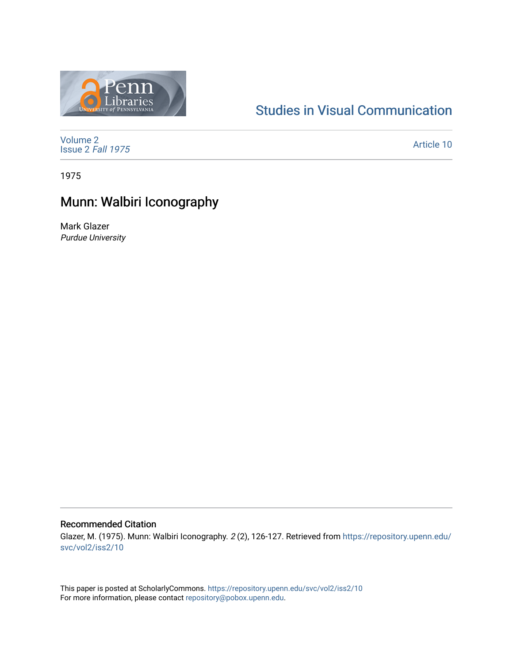

## [Studies in Visual Communication](https://repository.upenn.edu/svc)

[Volume 2](https://repository.upenn.edu/svc/vol2) [Issue 2](https://repository.upenn.edu/svc/vol2/iss2) Fall 1975

[Article 10](https://repository.upenn.edu/svc/vol2/iss2/10) 

1975

# Munn: Walbiri Iconography

Mark Glazer Purdue University

### Recommended Citation

Glazer, M. (1975). Munn: Walbiri Iconography. 2 (2), 126-127. Retrieved from [https://repository.upenn.edu/](https://repository.upenn.edu/svc/vol2/iss2/10) [svc/vol2/iss2/10](https://repository.upenn.edu/svc/vol2/iss2/10) 

This paper is posted at ScholarlyCommons.<https://repository.upenn.edu/svc/vol2/iss2/10> For more information, please contact [repository@pobox.upenn.edu.](mailto:repository@pobox.upenn.edu)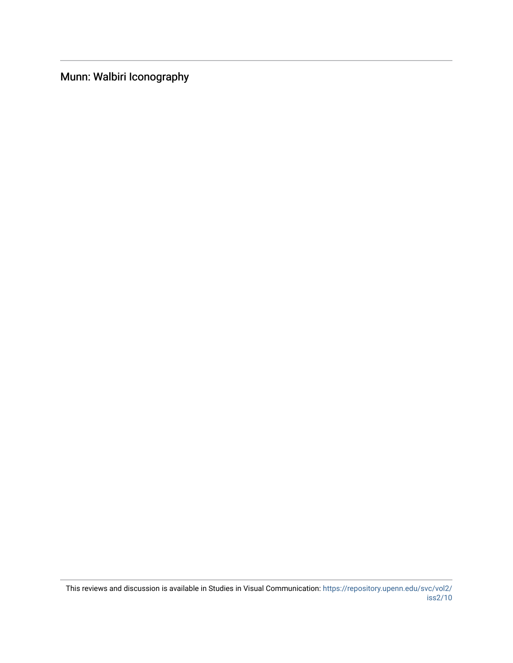Munn: Walbiri Iconography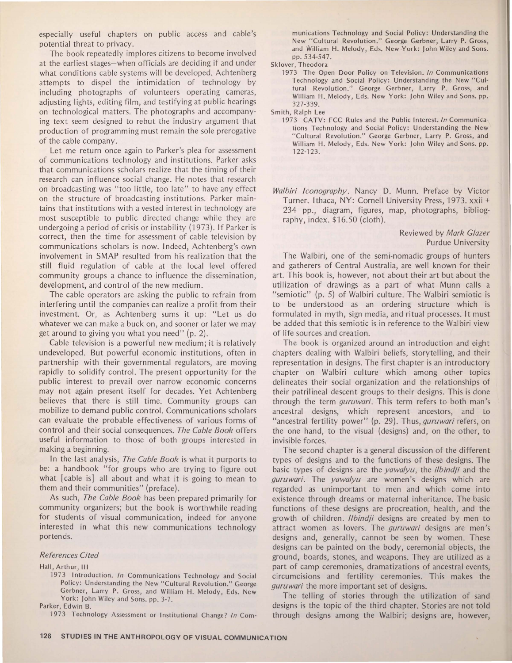especially useful chapters on public access and cable's potential threat to privacy.

The book repeatedly implores citizens to become involved at the earliest stages- when officials are deciding if and under what conditions cable systems will be developed. Achtenberg attempts to dispel the intimidation of technology by including photographs of volunteers operating cameras, adjusting lights, editing film, and testifying at public hearings on technological matters. The photographs and accompanying text seem designed to rebut the industry argument that production of programming must remain the sole prerogative of the cable company.

Let me return once again to Parker's plea for assessment of communications technology and institutions. Parker asks that communications scholars realize that the timing of their research can influence social change. He notes that research on broadcasting was "too little, too late" to have any effect on the structure of broadcasting institutions. Parker maintains that institutions with a vested interest in technology are most susceptible to public directed change while they are undergoing a period of crisis or instability (1973). If Parker is correct, then the time for assessment of cable television by communications scholars is now. Indeed, Achtenberg's own involvement in SMAP resulted from his realization that the still fluid regulation of cable at the local level offered community groups a chance to influence the dissemination, development, and control of the new medium.

The cable operators are asking the public to refrain from interfering until the companies can realize a profit from their investment. Or, as Achtenberg sums it up: "Let us do whatever we can make a buck on, and sooner or later we may get around to giving you what you need" (p. 2).

Cable television is a powerful new medium; it is relatively undeveloped. But powerful economic institutions, often in partnership with their governmental regulators, are moving rapidly to solidify control. The present opportunity for the public interest to prevail over narrow economic concerns may not again present itself for decades. Yet Achtenberg believes that there is still time. Community groups can mobilize to demand public control. Communications scholars can evaluate the probable effectiveness of various forms of control and their social consequences. The Cable Book offers useful information to those of both groups interested in making a beginning.

In the last analysis, The Cable Book is what it purports to be: a handbook "for groups who are trying to figure out what [cable is] all about and what it is going to mean to them and their communities" (preface).

As such, The Cable Book has been prepared primarily for community organizers; but the book is worthwhile reading for students of visual communication, indeed for anyone interested in what this new communications technology portends.

#### References Cited

Hall, Arthur, **Ill** 

1973 Introduction. In Communications Technology and Social Policy: Understanding the New "Cultural Revolution." George Gerbner, Larry **P.** Gross, and William **H.** Melody, Eds. New York: John Wiley and Sons. pp. 3-7. Parker, Edwin B.

1973 Technology Assessment or Institutional Change? In Com-

munications Technology and Social Policy: Understanding the New "Cultural Revolution." George Gerbner, Larry **P.** Gross, and William **H.** Melody, Eds. New York: John Wiley and Sons. pp. 534-547.

Sklover, Theodora

1973 The Open Door Policy on Television. In Communications Technology and Social Policy: Understanding the New "Cultural Revolution." George Gerbner, Larry **P.** Gross, and William H. Melody, Eds. New York: John Wiley and Sons. pp. 327-339.

Smith, Ralph Lee

1973 CATV: FCC Rules and the Public Interest. In Communications Technology and Social Policy: Understanding the New "Cultural Revolution." George Gerbner, Larry **P.** Gross, and William H. Melody, Eds. New York: John Wiley and Sons. pp. 122-123.

Walbiri Iconography. Nancy **D.** Munn. Preface by Victor Turner. Ithaca, NY: Cornell University Press, 1973. xxii + 234 pp., diagram, figures, map, photographs, bibliography, index. \$16.50 (cloth).

### Reviewed by Mark Glazer Purdue University

The Walbiri, one of the semi-nomadic groups of hunters and gatherers of Central Australia, are well known for their art. This book is, however, not about their art but about the utilization of drawings as a part of what Munn calls a "semiotic" (p. 5) of Walbiri culture. The Walbiri semiotic is to be understood as an ordering structure which is formulated in myth, sign media, and ritual processes. It must be added that this semiotic is in reference to the Walbiri view of life sources and creation.

The book is organized around an introduction and eight chapters dealing with Walbiri beliefs, storytelling, and their representation in designs. The first chapter is an introductory chapter on Walbiri culture which among other topics delineates their social organization and the relationships of their patrilineal descent groups to their designs. This is done through the term guruwari. This term refers to both man's ancestral designs, which represent ancestors, and to "ancestral fertility power" (p. 29). Thus, *guruwari* refers, on the one hand, to the visual (designs) and, on the other, to invisible forces.

The second chapter is a general discussion of the different types of designs and to the functions of these designs. The basic types of designs are the *yawalyu*, the *ilbindji* and the guruwari. The yawalyu are women's designs which are regarded as unimportant to men and which come into existence through dreams or maternal inheritance. The basic functions of these designs are procreation, health, and the growth of children. 1/bindji designs are created by men to attract women as lovers. The guruwari designs are men's designs and, generally, cannot be seen by women. These designs can be painted on the body, ceremonial objects, the ground, boards, stones, and weapons. They are utilized as a part of camp ceremonies, dramatizations of ancestral events, circumcisions and fertility ceremonies. This makes the guruwari the more important set of designs.

The telling of stories through the utilization of sand designs is the topic of the third chapter. Stories are not told through designs among the Walbiri; designs are, however,